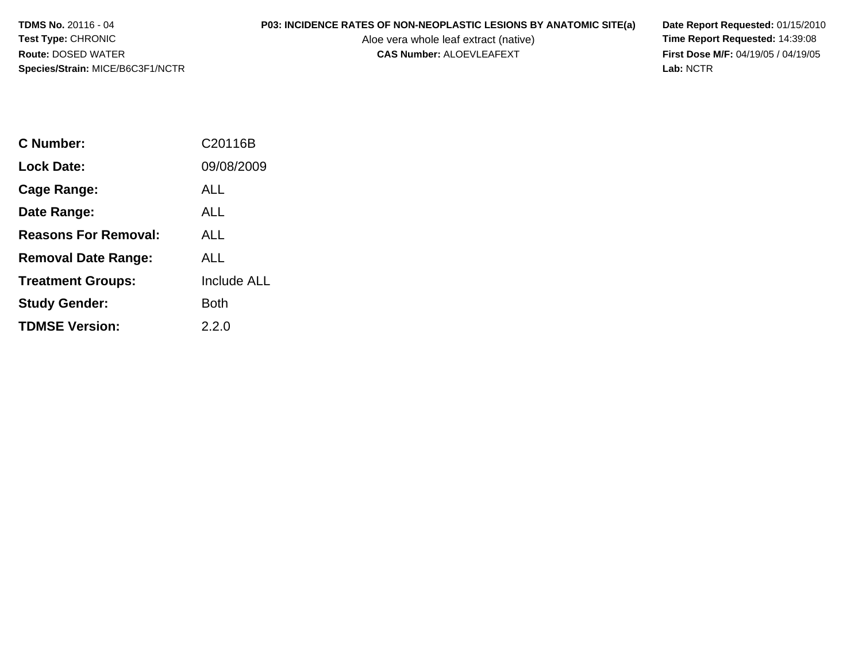**TDMS No.** 20116 - 04**Test Type:** CHRONIC**Route:** DOSED WATER**Species/Strain:** MICE/B6C3F1/NCTR

# **P03: INCIDENCE RATES OF NON-NEOPLASTIC LESIONS BY ANATOMIC SITE(a) Date Report Requested: 01/15/2010**<br>Aloe vera whole leaf extract (native) **Time Report Requested: 14:39:08**

Aloe vera whole leaf extract (native)<br>**CAS Number:** ALOEVLEAFEXT

**First Dose M/F:** 04/19/05 / 04/19/05<br>Lab: NCTR **Lab:** NCTR

| C Number:                   | C20116B     |
|-----------------------------|-------------|
| <b>Lock Date:</b>           | 09/08/2009  |
| Cage Range:                 | ALL         |
| Date Range:                 | ALL         |
| <b>Reasons For Removal:</b> | ALL         |
| <b>Removal Date Range:</b>  | ALL.        |
| <b>Treatment Groups:</b>    | Include ALL |
| <b>Study Gender:</b>        | Both        |
| <b>TDMSE Version:</b>       | 2.2.0       |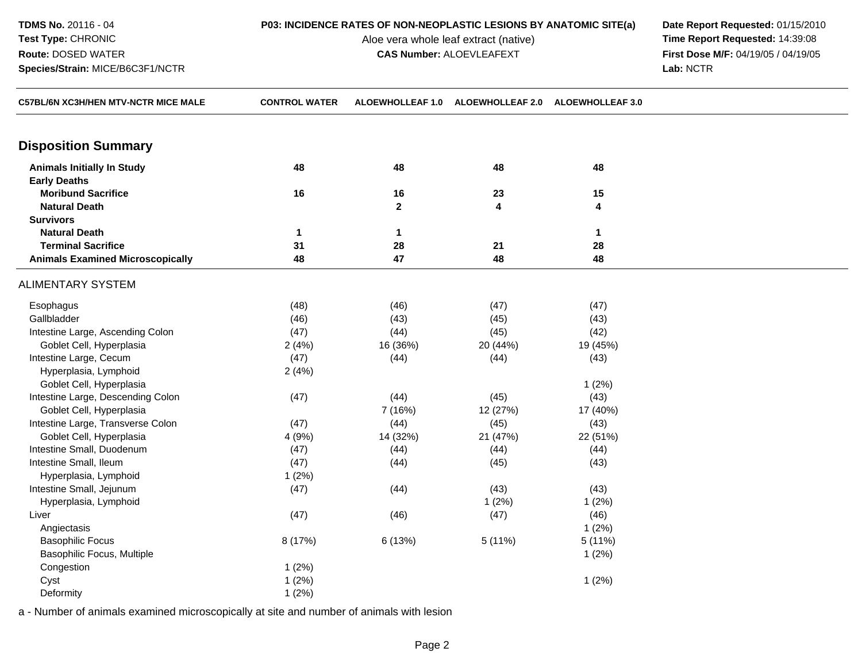**TDMS No.** 20116 - 04**Test Type:** CHRONIC**Route:** DOSED WATER**Species/Strain:** MICE/B6C3F1/NCTR

Aloe vera whole leaf extract (native)<br>**CAS Number:** ALOEVLEAFEXT

**P03: INCIDENCE RATES OF NON-NEOPLASTIC LESIONS BY ANATOMIC SITE(a) Date Report Requested: 01/15/2010**<br>Aloe vera whole leaf extract (native) **Time Report Requested: 14:39:08 First Dose M/F:** 04/19/05 / 04/19/05<br>Lab: NCTR **Lab:** NCTR

| C57BL/6N XC3H/HEN MTV-NCTR MICE MALE    | <b>CONTROL WATER</b> |              | ALOEWHOLLEAF 1.0 ALOEWHOLLEAF 2.0 ALOEWHOLLEAF 3.0 |          |  |
|-----------------------------------------|----------------------|--------------|----------------------------------------------------|----------|--|
| <b>Disposition Summary</b>              |                      |              |                                                    |          |  |
| <b>Animals Initially In Study</b>       | 48                   | 48           | 48                                                 | 48       |  |
| <b>Early Deaths</b>                     |                      |              |                                                    |          |  |
| <b>Moribund Sacrifice</b>               | 16                   | 16           | 23                                                 | 15       |  |
| <b>Natural Death</b>                    |                      | $\mathbf{2}$ | 4                                                  | 4        |  |
| <b>Survivors</b>                        |                      |              |                                                    |          |  |
| <b>Natural Death</b>                    | 1                    | 1            |                                                    | 1        |  |
| <b>Terminal Sacrifice</b>               | 31                   | 28           | 21                                                 | 28       |  |
| <b>Animals Examined Microscopically</b> | 48                   | 47           | 48                                                 | 48       |  |
| <b>ALIMENTARY SYSTEM</b>                |                      |              |                                                    |          |  |
| Esophagus                               | (48)                 | (46)         | (47)                                               | (47)     |  |
| Gallbladder                             | (46)                 | (43)         | (45)                                               | (43)     |  |
| Intestine Large, Ascending Colon        | (47)                 | (44)         | (45)                                               | (42)     |  |
| Goblet Cell, Hyperplasia                | 2(4%)                | 16 (36%)     | 20 (44%)                                           | 19 (45%) |  |
| Intestine Large, Cecum                  | (47)                 | (44)         | (44)                                               | (43)     |  |
| Hyperplasia, Lymphoid                   | 2(4%)                |              |                                                    |          |  |
| Goblet Cell, Hyperplasia                |                      |              |                                                    | 1(2%)    |  |
| Intestine Large, Descending Colon       | (47)                 | (44)         | (45)                                               | (43)     |  |
| Goblet Cell, Hyperplasia                |                      | 7 (16%)      | 12 (27%)                                           | 17 (40%) |  |
| Intestine Large, Transverse Colon       | (47)                 | (44)         | (45)                                               | (43)     |  |
| Goblet Cell, Hyperplasia                | 4 (9%)               | 14 (32%)     | 21 (47%)                                           | 22 (51%) |  |
| Intestine Small, Duodenum               | (47)                 | (44)         | (44)                                               | (44)     |  |
| Intestine Small, Ileum                  | (47)                 | (44)         | (45)                                               | (43)     |  |
| Hyperplasia, Lymphoid                   | 1(2%)                |              |                                                    |          |  |
| Intestine Small, Jejunum                | (47)                 | (44)         | (43)                                               | (43)     |  |
| Hyperplasia, Lymphoid                   |                      |              | 1(2%)                                              | 1(2%)    |  |
| Liver                                   | (47)                 | (46)         | (47)                                               | (46)     |  |
| Angiectasis                             |                      |              |                                                    | 1(2%)    |  |
| <b>Basophilic Focus</b>                 | 8 (17%)              | 6 (13%)      | 5(11%)                                             | 5 (11%)  |  |
| Basophilic Focus, Multiple              |                      |              |                                                    | 1(2%)    |  |
| Congestion                              | 1(2%)                |              |                                                    |          |  |
| Cyst                                    | 1(2%)                |              |                                                    | 1(2%)    |  |
| Deformity                               | 1(2%)                |              |                                                    |          |  |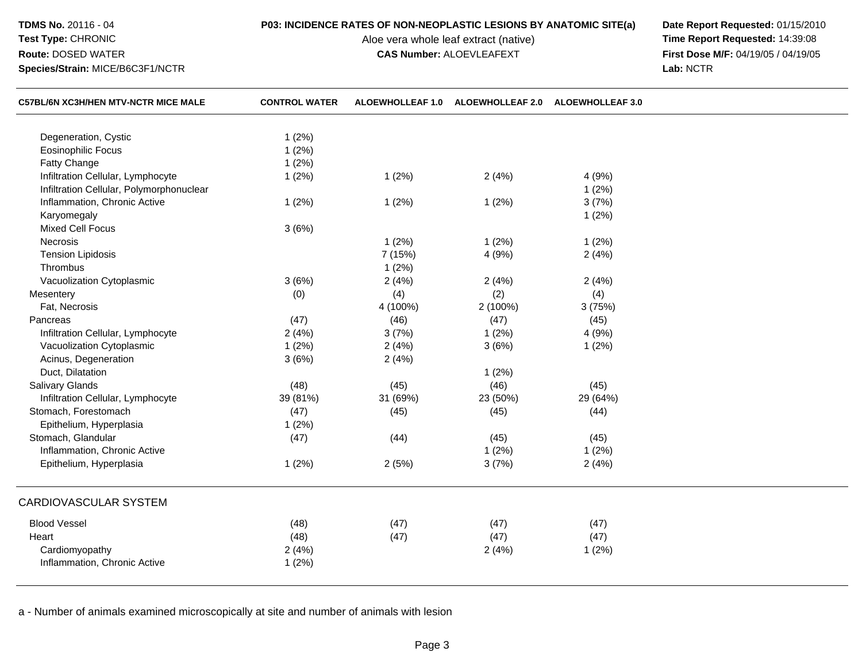**TDMS No.** 20116 - 04**Test Type:** CHRONIC

**Route:** DOSED WATER

**Species/Strain:** MICE/B6C3F1/NCTR

Aloe vera whole leaf extract (native)<br>**CAS Number:** ALOEVLEAFEXT

**P03: INCIDENCE RATES OF NON-NEOPLASTIC LESIONS BY ANATOMIC SITE(a) Date Report Requested: 01/15/2010**<br>Aloe vera whole leaf extract (native) **Time Report Requested: 14:39:08 First Dose M/F:** 04/19/05 / 04/19/05<br>Lab: NCTR **Lab:** NCTR

| <b>C57BL/6N XC3H/HEN MTV-NCTR MICE MALE</b> | <b>CONTROL WATER</b> | <b>ALOEWHOLLEAF 1.0</b> | <b>ALOEWHOLLEAF 2.0</b> | <b>ALOEWHOLLEAF 3.0</b> |  |
|---------------------------------------------|----------------------|-------------------------|-------------------------|-------------------------|--|
| Degeneration, Cystic                        | 1(2%)                |                         |                         |                         |  |
| <b>Eosinophilic Focus</b>                   | 1(2%)                |                         |                         |                         |  |
| Fatty Change                                | 1(2%)                |                         |                         |                         |  |
| Infiltration Cellular, Lymphocyte           | 1(2%)                | 1(2%)                   | 2(4%)                   | 4 (9%)                  |  |
| Infiltration Cellular, Polymorphonuclear    |                      |                         |                         | 1(2%)                   |  |
| Inflammation, Chronic Active                | 1(2%)                | 1(2%)                   | 1(2%)                   | 3(7%)                   |  |
| Karyomegaly                                 |                      |                         |                         | 1(2%)                   |  |
| <b>Mixed Cell Focus</b>                     | 3(6%)                |                         |                         |                         |  |
| Necrosis                                    |                      | 1(2%)                   | 1(2%)                   | 1(2%)                   |  |
| <b>Tension Lipidosis</b>                    |                      | 7 (15%)                 | 4 (9%)                  | 2(4%)                   |  |
| Thrombus                                    |                      | 1(2%)                   |                         |                         |  |
| Vacuolization Cytoplasmic                   | 3(6%)                | 2(4%)                   | 2(4%)                   | 2(4%)                   |  |
| Mesentery                                   | (0)                  | (4)                     | (2)                     | (4)                     |  |
| Fat, Necrosis                               |                      | 4 (100%)                | 2 (100%)                | 3(75%)                  |  |
| Pancreas                                    | (47)                 | (46)                    | (47)                    | (45)                    |  |
| Infiltration Cellular, Lymphocyte           | 2(4%)                | 3(7%)                   | 1(2%)                   | 4 (9%)                  |  |
| Vacuolization Cytoplasmic                   | 1(2%)                | 2(4%)                   | 3(6%)                   | 1(2%)                   |  |
| Acinus, Degeneration                        | 3(6%)                | 2(4%)                   |                         |                         |  |
| Duct, Dilatation                            |                      |                         | 1(2%)                   |                         |  |
| Salivary Glands                             | (48)                 | (45)                    | (46)                    | (45)                    |  |
| Infiltration Cellular, Lymphocyte           | 39 (81%)             | 31 (69%)                | 23 (50%)                | 29 (64%)                |  |
| Stomach, Forestomach                        | (47)                 | (45)                    | (45)                    | (44)                    |  |
| Epithelium, Hyperplasia                     | 1(2%)                |                         |                         |                         |  |
| Stomach, Glandular                          | (47)                 | (44)                    | (45)                    | (45)                    |  |
| Inflammation, Chronic Active                |                      |                         | 1(2%)                   | 1(2%)                   |  |
| Epithelium, Hyperplasia                     | 1(2%)                | 2(5%)                   | 3(7%)                   | 2(4%)                   |  |
| CARDIOVASCULAR SYSTEM                       |                      |                         |                         |                         |  |
| <b>Blood Vessel</b>                         | (48)                 | (47)                    | (47)                    | (47)                    |  |
| Heart                                       | (48)                 | (47)                    | (47)                    | (47)                    |  |
| Cardiomyopathy                              | 2(4%)                |                         | 2(4%)                   | 1(2%)                   |  |
| Inflammation, Chronic Active                | 1(2%)                |                         |                         |                         |  |
|                                             |                      |                         |                         |                         |  |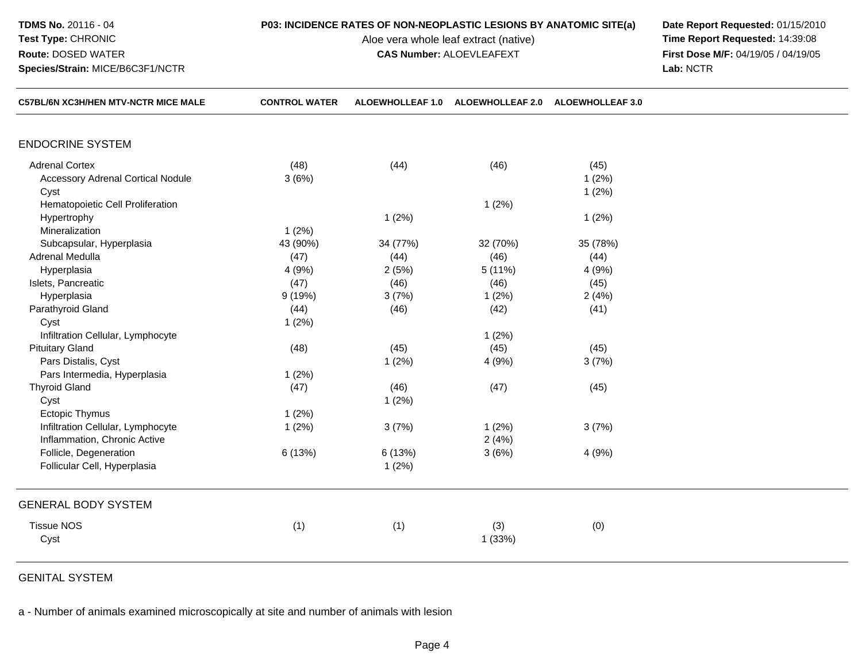**TDMS No.** 20116 - 04**Test Type:** CHRONIC

**Route:** DOSED WATER

**Species/Strain:** MICE/B6C3F1/NCTR

Aloe vera whole leaf extract (native)<br>**CAS Number:** ALOEVLEAFEXT

**P03: INCIDENCE RATES OF NON-NEOPLASTIC LESIONS BY ANATOMIC SITE(a) Date Report Requested: 01/15/2010**<br>Aloe vera whole leaf extract (native) **Time Report Requested: 14:39:08 First Dose M/F:** 04/19/05 / 04/19/05<br>Lab: NCTR **Lab:** NCTR

| <b>C57BL/6N XC3H/HEN MTV-NCTR MICE MALE</b> | <b>CONTROL WATER</b> | <b>ALOEWHOLLEAF 1.0</b> | <b>ALOEWHOLLEAF 2.0</b> | <b>ALOEWHOLLEAF 3.0</b> |  |
|---------------------------------------------|----------------------|-------------------------|-------------------------|-------------------------|--|
|                                             |                      |                         |                         |                         |  |
| <b>ENDOCRINE SYSTEM</b>                     |                      |                         |                         |                         |  |
| <b>Adrenal Cortex</b>                       | (48)                 | (44)                    | (46)                    | (45)                    |  |
| <b>Accessory Adrenal Cortical Nodule</b>    | 3(6%)                |                         |                         | 1(2%)                   |  |
| Cyst                                        |                      |                         |                         | 1(2%)                   |  |
| Hematopoietic Cell Proliferation            |                      |                         | 1(2%)                   |                         |  |
| Hypertrophy                                 |                      | 1(2%)                   |                         | 1(2%)                   |  |
| Mineralization                              | 1(2%)                |                         |                         |                         |  |
| Subcapsular, Hyperplasia                    | 43 (90%)             | 34 (77%)                | 32 (70%)                | 35 (78%)                |  |
| <b>Adrenal Medulla</b>                      | (47)                 | (44)                    | (46)                    | (44)                    |  |
| Hyperplasia                                 | 4 (9%)               | 2(5%)                   | 5(11%)                  | 4(9%)                   |  |
| Islets, Pancreatic                          | (47)                 | (46)                    | (46)                    | (45)                    |  |
| Hyperplasia                                 | 9(19%)               | 3(7%)                   | 1(2%)                   | 2(4%)                   |  |
| Parathyroid Gland                           | (44)                 | (46)                    | (42)                    | (41)                    |  |
| Cyst                                        | 1(2%)                |                         |                         |                         |  |
| Infiltration Cellular, Lymphocyte           |                      |                         | 1(2%)                   |                         |  |
| <b>Pituitary Gland</b>                      | (48)                 | (45)                    | (45)                    | (45)                    |  |
| Pars Distalis, Cyst                         |                      | 1(2%)                   | 4 (9%)                  | 3(7%)                   |  |
| Pars Intermedia, Hyperplasia                | 1(2%)                |                         |                         |                         |  |
| <b>Thyroid Gland</b>                        | (47)                 | (46)                    | (47)                    | (45)                    |  |
| Cyst                                        |                      | 1(2%)                   |                         |                         |  |
| Ectopic Thymus                              | 1(2%)                |                         |                         |                         |  |
| Infiltration Cellular, Lymphocyte           | 1(2%)                | 3(7%)                   | 1(2%)                   | 3(7%)                   |  |
| Inflammation, Chronic Active                |                      |                         | 2(4%)                   |                         |  |
| Follicle, Degeneration                      | 6 (13%)              | 6(13%)                  | 3(6%)                   | 4(9%)                   |  |
| Follicular Cell, Hyperplasia                |                      | 1(2%)                   |                         |                         |  |
| <b>GENERAL BODY SYSTEM</b>                  |                      |                         |                         |                         |  |
| <b>Tissue NOS</b>                           | (1)                  | (1)                     | (3)                     | (0)                     |  |
| Cyst                                        |                      |                         | 1(33%)                  |                         |  |
|                                             |                      |                         |                         |                         |  |

GENITAL SYSTEM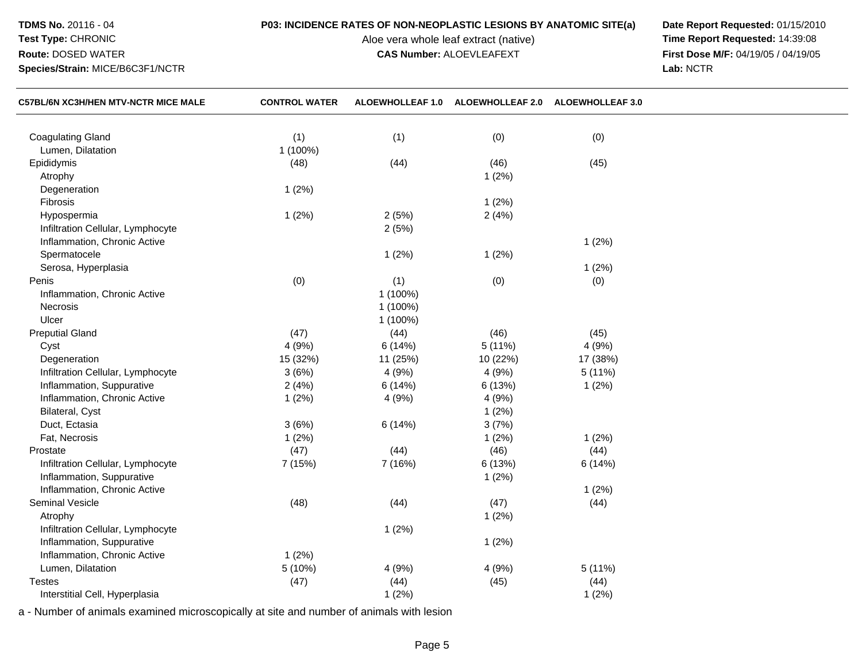## **TDMS No.** 20116 - 04

## **Test Type:** CHRONIC**Route:** DOSED WATER

**Species/Strain:** MICE/B6C3F1/NCTR

Aloe vera whole leaf extract (native)<br>**CAS Number:** ALOEVLEAFEXT

**P03: INCIDENCE RATES OF NON-NEOPLASTIC LESIONS BY ANATOMIC SITE(a) Date Report Requested: 01/15/2010**<br>Aloe vera whole leaf extract (native) **Time Report Requested: 14:39:08 First Dose M/F:** 04/19/05 / 04/19/05<br>Lab: NCTR **Lab:** NCTR

| <b>C57BL/6N XC3H/HEN MTV-NCTR MICE MALE</b> | <b>CONTROL WATER</b> |          | ALOEWHOLLEAF 1.0 ALOEWHOLLEAF 2.0 ALOEWHOLLEAF 3.0 |          |  |
|---------------------------------------------|----------------------|----------|----------------------------------------------------|----------|--|
|                                             |                      |          |                                                    |          |  |
| <b>Coagulating Gland</b>                    | (1)                  | (1)      | (0)                                                | (0)      |  |
| Lumen, Dilatation                           | 1 (100%)             |          |                                                    |          |  |
| Epididymis                                  | (48)                 | (44)     | (46)                                               | (45)     |  |
| Atrophy                                     |                      |          | 1(2%)                                              |          |  |
| Degeneration                                | 1(2%)                |          |                                                    |          |  |
| Fibrosis                                    |                      |          | 1(2%)                                              |          |  |
| Hypospermia                                 | 1(2%)                | 2(5%)    | 2(4%)                                              |          |  |
| Infiltration Cellular, Lymphocyte           |                      | 2(5%)    |                                                    |          |  |
| Inflammation, Chronic Active                |                      |          |                                                    | 1(2%)    |  |
| Spermatocele                                |                      | 1(2%)    | 1(2%)                                              |          |  |
| Serosa, Hyperplasia                         |                      |          |                                                    | 1(2%)    |  |
| Penis                                       | (0)                  | (1)      | (0)                                                | (0)      |  |
| Inflammation, Chronic Active                |                      | 1 (100%) |                                                    |          |  |
| Necrosis                                    |                      | 1 (100%) |                                                    |          |  |
| Ulcer                                       |                      | 1 (100%) |                                                    |          |  |
| <b>Preputial Gland</b>                      | (47)                 | (44)     | (46)                                               | (45)     |  |
| Cyst                                        | 4(9%)                | 6(14%)   | 5(11%)                                             | 4(9%)    |  |
| Degeneration                                | 15 (32%)             | 11 (25%) | 10 (22%)                                           | 17 (38%) |  |
| Infiltration Cellular, Lymphocyte           | 3(6%)                | 4(9%)    | 4(9%)                                              | 5(11%)   |  |
| Inflammation, Suppurative                   | 2(4%)                | 6(14%)   | 6 (13%)                                            | 1(2%)    |  |
| Inflammation, Chronic Active                | 1(2%)                | 4(9%)    | 4(9%)                                              |          |  |
| Bilateral, Cyst                             |                      |          | 1(2%)                                              |          |  |
| Duct, Ectasia                               | 3(6%)                | 6(14%)   | 3(7%)                                              |          |  |
| Fat, Necrosis                               | 1(2%)                |          | 1(2%)                                              | 1(2%)    |  |
| Prostate                                    | (47)                 | (44)     | (46)                                               | (44)     |  |
| Infiltration Cellular, Lymphocyte           | 7 (15%)              | 7 (16%)  | 6 (13%)                                            | 6(14%)   |  |
| Inflammation, Suppurative                   |                      |          | 1(2%)                                              |          |  |
| Inflammation, Chronic Active                |                      |          |                                                    | 1(2%)    |  |
| Seminal Vesicle                             | (48)                 | (44)     | (47)                                               | (44)     |  |
| Atrophy                                     |                      |          | 1(2%)                                              |          |  |
| Infiltration Cellular, Lymphocyte           |                      | 1(2%)    |                                                    |          |  |
| Inflammation, Suppurative                   |                      |          | 1(2%)                                              |          |  |
| Inflammation, Chronic Active                | 1(2%)                |          |                                                    |          |  |
| Lumen, Dilatation                           | 5(10%)               | 4(9%)    | 4 (9%)                                             | 5 (11%)  |  |
| <b>Testes</b>                               | (47)                 | (44)     | (45)                                               | (44)     |  |
| Interstitial Cell, Hyperplasia              |                      | 1(2%)    |                                                    | 1(2%)    |  |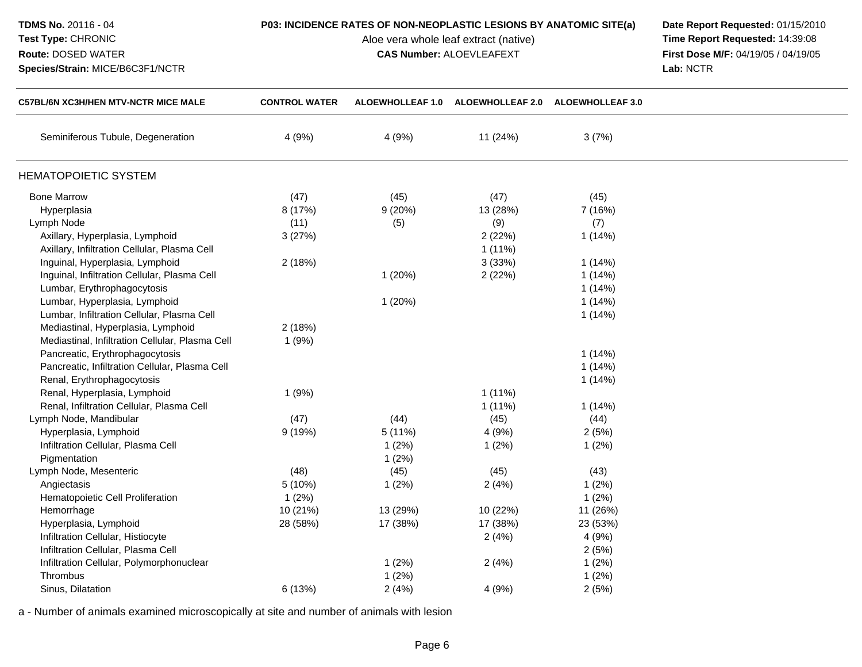## **Test Type:** CHRONIC**Route:** DOSED WATER

**Species/Strain:** MICE/B6C3F1/NCTR

# **P03: INCIDENCE RATES OF NON-NEOPLASTIC LESIONS BY ANATOMIC SITE(a) Date Report Requested: 01/15/2010**<br>Aloe vera whole leaf extract (native) **Time Report Requested: 14:39:08**

Aloe vera whole leaf extract (native)<br>**CAS Number:** ALOEVLEAFEXT

**First Dose M/F:** 04/19/05 / 04/19/05<br>Lab: NCTR **Lab:** NCTR

| <b>C57BL/6N XC3H/HEN MTV-NCTR MICE MALE</b>     | <b>CONTROL WATER</b> |          | ALOEWHOLLEAF 1.0 ALOEWHOLLEAF 2.0 ALOEWHOLLEAF 3.0 |          |  |
|-------------------------------------------------|----------------------|----------|----------------------------------------------------|----------|--|
| Seminiferous Tubule, Degeneration               | 4(9%)                | 4(9%)    | 11 (24%)                                           | 3(7%)    |  |
| <b>HEMATOPOIETIC SYSTEM</b>                     |                      |          |                                                    |          |  |
| <b>Bone Marrow</b>                              | (47)                 | (45)     | (47)                                               | (45)     |  |
| Hyperplasia                                     | 8 (17%)              | 9(20%)   | 13 (28%)                                           | 7 (16%)  |  |
| Lymph Node                                      | (11)                 | (5)      | (9)                                                | (7)      |  |
| Axillary, Hyperplasia, Lymphoid                 | 3(27%)               |          | 2(22%)                                             | 1(14%)   |  |
| Axillary, Infiltration Cellular, Plasma Cell    |                      |          | $1(11\%)$                                          |          |  |
| Inguinal, Hyperplasia, Lymphoid                 | 2(18%)               |          | 3(33%)                                             | 1(14%)   |  |
| Inguinal, Infiltration Cellular, Plasma Cell    |                      | 1(20%)   | 2(22%)                                             | 1(14%)   |  |
| Lumbar, Erythrophagocytosis                     |                      |          |                                                    | 1(14%)   |  |
| Lumbar, Hyperplasia, Lymphoid                   |                      | 1(20%)   |                                                    | 1(14%)   |  |
| Lumbar, Infiltration Cellular, Plasma Cell      |                      |          |                                                    | 1(14%)   |  |
| Mediastinal, Hyperplasia, Lymphoid              | 2(18%)               |          |                                                    |          |  |
| Mediastinal, Infiltration Cellular, Plasma Cell | 1(9%)                |          |                                                    |          |  |
| Pancreatic, Erythrophagocytosis                 |                      |          |                                                    | 1(14%)   |  |
| Pancreatic, Infiltration Cellular, Plasma Cell  |                      |          |                                                    | 1(14%)   |  |
| Renal, Erythrophagocytosis                      |                      |          |                                                    | 1(14%)   |  |
| Renal, Hyperplasia, Lymphoid                    | 1(9%)                |          | $1(11\%)$                                          |          |  |
| Renal, Infiltration Cellular, Plasma Cell       |                      |          | $1(11\%)$                                          | 1(14%)   |  |
| Lymph Node, Mandibular                          | (47)                 | (44)     | (45)                                               | (44)     |  |
| Hyperplasia, Lymphoid                           | 9(19%)               | 5(11%)   | 4 (9%)                                             | 2(5%)    |  |
| Infiltration Cellular, Plasma Cell              |                      | 1(2%)    | 1(2%)                                              | 1(2%)    |  |
| Pigmentation                                    |                      | 1(2%)    |                                                    |          |  |
| Lymph Node, Mesenteric                          | (48)                 | (45)     | (45)                                               | (43)     |  |
| Angiectasis                                     | 5(10%)               | 1(2%)    | 2(4%)                                              | 1(2%)    |  |
| Hematopoietic Cell Proliferation                | 1(2%)                |          |                                                    | 1(2%)    |  |
| Hemorrhage                                      | 10 (21%)             | 13 (29%) | 10 (22%)                                           | 11 (26%) |  |
| Hyperplasia, Lymphoid                           | 28 (58%)             | 17 (38%) | 17 (38%)                                           | 23 (53%) |  |
| Infiltration Cellular, Histiocyte               |                      |          | 2(4%)                                              | 4(9%)    |  |
| Infiltration Cellular, Plasma Cell              |                      |          |                                                    | 2(5%)    |  |
| Infiltration Cellular, Polymorphonuclear        |                      | 1(2%)    | 2(4%)                                              | 1(2%)    |  |
| Thrombus                                        |                      | 1(2%)    |                                                    | 1(2%)    |  |
| Sinus, Dilatation                               | 6 (13%)              | 2(4%)    | 4 (9%)                                             | 2(5%)    |  |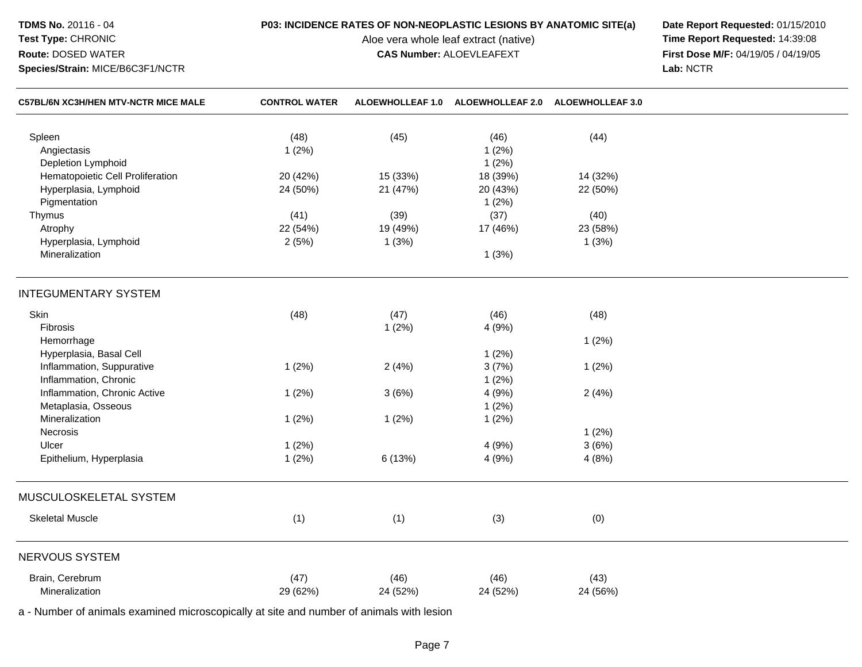## **TDMS No.** 20116 - 04

## **Test Type:** CHRONIC**Route:** DOSED WATER

**Species/Strain:** MICE/B6C3F1/NCTR

# **P03: INCIDENCE RATES OF NON-NEOPLASTIC LESIONS BY ANATOMIC SITE(a) Date Report Requested: 01/15/2010**<br>Aloe vera whole leaf extract (native) **Time Report Requested: 14:39:08**

Aloe vera whole leaf extract (native)<br>**CAS Number:** ALOEVLEAFEXT

**First Dose M/F:** 04/19/05 / 04/19/05<br>Lab: NCTR **Lab:** NCTR

| <b>C57BL/6N XC3H/HEN MTV-NCTR MICE MALE</b> | <b>CONTROL WATER</b> |          | ALOEWHOLLEAF 1.0 ALOEWHOLLEAF 2.0 | <b>ALOEWHOLLEAF 3.0</b> |  |
|---------------------------------------------|----------------------|----------|-----------------------------------|-------------------------|--|
| Spleen                                      | (48)                 | (45)     | (46)                              | (44)                    |  |
| Angiectasis                                 | 1(2%)                |          | 1(2%)                             |                         |  |
| Depletion Lymphoid                          |                      |          | 1(2%)                             |                         |  |
| Hematopoietic Cell Proliferation            | 20 (42%)             | 15 (33%) | 18 (39%)                          | 14 (32%)                |  |
| Hyperplasia, Lymphoid                       | 24 (50%)             | 21 (47%) | 20 (43%)                          | 22 (50%)                |  |
| Pigmentation                                |                      |          | 1(2%)                             |                         |  |
| Thymus                                      | (41)                 | (39)     | (37)                              | (40)                    |  |
| Atrophy                                     | 22 (54%)             | 19 (49%) | 17 (46%)                          | 23 (58%)                |  |
| Hyperplasia, Lymphoid                       | 2(5%)                | 1(3%)    |                                   | 1(3%)                   |  |
| Mineralization                              |                      |          | 1(3%)                             |                         |  |
| <b>INTEGUMENTARY SYSTEM</b>                 |                      |          |                                   |                         |  |
| Skin                                        | (48)                 | (47)     | (46)                              | (48)                    |  |
| Fibrosis                                    |                      | 1(2%)    | 4 (9%)                            |                         |  |
| Hemorrhage                                  |                      |          |                                   | 1(2%)                   |  |
| Hyperplasia, Basal Cell                     |                      |          | 1(2%)                             |                         |  |
| Inflammation, Suppurative                   | 1(2%)                | 2(4%)    | 3(7%)                             | 1(2%)                   |  |
| Inflammation, Chronic                       |                      |          | 1(2%)                             |                         |  |
| Inflammation, Chronic Active                | 1(2%)                | 3(6%)    | 4 (9%)                            | 2(4%)                   |  |
| Metaplasia, Osseous                         |                      |          | 1(2%)                             |                         |  |
| Mineralization                              | 1(2%)                | 1(2%)    | 1(2%)                             |                         |  |
| Necrosis                                    |                      |          |                                   | 1(2%)                   |  |
| Ulcer                                       | 1(2%)                |          | 4(9%)                             | 3(6%)                   |  |
| Epithelium, Hyperplasia                     | 1(2%)                | 6 (13%)  | 4(9%)                             | 4(8%)                   |  |
|                                             |                      |          |                                   |                         |  |
| MUSCULOSKELETAL SYSTEM                      |                      |          |                                   |                         |  |
| <b>Skeletal Muscle</b>                      | (1)                  | (1)      | (3)                               | (0)                     |  |
| <b>NERVOUS SYSTEM</b>                       |                      |          |                                   |                         |  |
| Brain, Cerebrum                             | (47)                 | (46)     | (46)                              |                         |  |
| Mineralization                              |                      |          |                                   | (43)                    |  |
|                                             | 29 (62%)             | 24 (52%) | 24 (52%)                          | 24 (56%)                |  |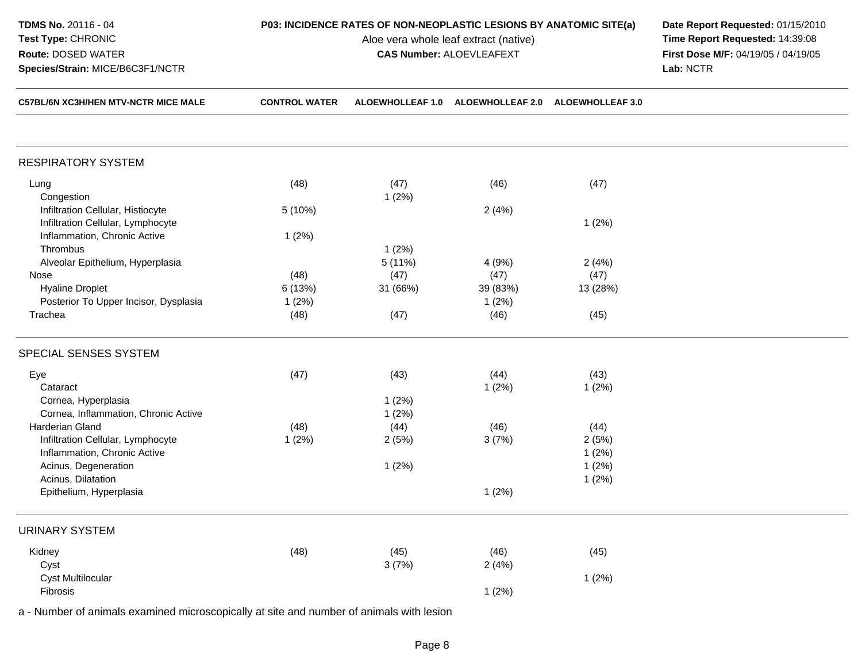| CEZRI IGN YO'N ILICH MTV NOTD MICE MAI E | CONTROL WATER                                                             | ALOCWUOLLEAE 1 A. ALOCWUOLLEAE 2 A. ALOCWUOLLEAE 2 A. |  |           |  |
|------------------------------------------|---------------------------------------------------------------------------|-------------------------------------------------------|--|-----------|--|
| Species/Strain: MICE/B6C3F1/NCTR         |                                                                           |                                                       |  | Lab: NCTR |  |
| <b>Route: DOSED WATER</b>                | <b>CAS Number: ALOEVLEAFEXT</b>                                           |                                                       |  |           |  |
| <b>Test Type: CHRONIC</b>                | Aloe vera whole leaf extract (native)                                     |                                                       |  |           |  |
| <b>TDMS No. 20116 - 04</b>               | <b>P03: INCIDENCE RATES OF NON-NEOPLASTIC LESIONS BY ANATOMIC SITE(a)</b> |                                                       |  |           |  |

**POS BY ANATOMIC SITE(a) Date Report Requested:** 01/15/2010<br>ive) **Date Report Requested:** 14:39:08 **Time Report Requested: 14:39:08 First Dose M/F:** 04/19/05 / 04/19/05<br>Lab: NCTR

| <b>C57BL/6N XC3H/HEN MTV-NCTR MICE MALE</b> | <b>CONTROL WATER</b> | ALOEWHOLLEAF 1.0 | <b>ALOEWHOLLEAF 2.0</b> | <b>ALOEWHOLLEAF 3.0</b> |  |
|---------------------------------------------|----------------------|------------------|-------------------------|-------------------------|--|
|                                             |                      |                  |                         |                         |  |
| <b>RESPIRATORY SYSTEM</b>                   |                      |                  |                         |                         |  |
| Lung                                        | (48)                 | (47)             | (46)                    | (47)                    |  |
| Congestion                                  |                      | 1(2%)            |                         |                         |  |
| Infiltration Cellular, Histiocyte           | 5 (10%)              |                  | 2(4%)                   |                         |  |
| Infiltration Cellular, Lymphocyte           |                      |                  |                         | 1(2%)                   |  |
| Inflammation, Chronic Active                | 1(2%)                |                  |                         |                         |  |
| Thrombus                                    |                      | 1(2%)            |                         |                         |  |
| Alveolar Epithelium, Hyperplasia            |                      | 5 (11%)          | 4 (9%)                  | 2(4%)                   |  |
| Nose                                        | (48)                 | (47)             | (47)                    | (47)                    |  |
| <b>Hyaline Droplet</b>                      | 6 (13%)              | 31 (66%)         | 39 (83%)                | 13 (28%)                |  |
| Posterior To Upper Incisor, Dysplasia       | 1(2%)                |                  | 1(2%)                   |                         |  |
| Trachea                                     | (48)                 | (47)             | (46)                    | (45)                    |  |
| SPECIAL SENSES SYSTEM                       |                      |                  |                         |                         |  |
| Eye                                         | (47)                 | (43)             | (44)                    | (43)                    |  |
| Cataract                                    |                      |                  | 1(2%)                   | 1(2%)                   |  |
| Cornea, Hyperplasia                         |                      | 1(2%)            |                         |                         |  |
| Cornea, Inflammation, Chronic Active        |                      | 1(2%)            |                         |                         |  |
| Harderian Gland                             | (48)                 | (44)             | (46)                    | (44)                    |  |
| Infiltration Cellular, Lymphocyte           | 1(2%)                | 2(5%)            | 3(7%)                   | 2(5%)                   |  |
| Inflammation, Chronic Active                |                      |                  |                         | 1(2%)                   |  |
| Acinus, Degeneration                        |                      | 1(2%)            |                         | 1(2%)                   |  |
| Acinus, Dilatation                          |                      |                  |                         | 1(2%)                   |  |
| Epithelium, Hyperplasia                     |                      |                  | 1(2%)                   |                         |  |
| <b>URINARY SYSTEM</b>                       |                      |                  |                         |                         |  |
| Kidney                                      | (48)                 | (45)             | (46)                    | (45)                    |  |
| Cyst                                        |                      | 3(7%)            | 2(4%)                   |                         |  |
| Cyst Multilocular                           |                      |                  |                         | 1(2%)                   |  |
| Fibrosis                                    |                      |                  | 1(2%)                   |                         |  |
|                                             |                      |                  |                         |                         |  |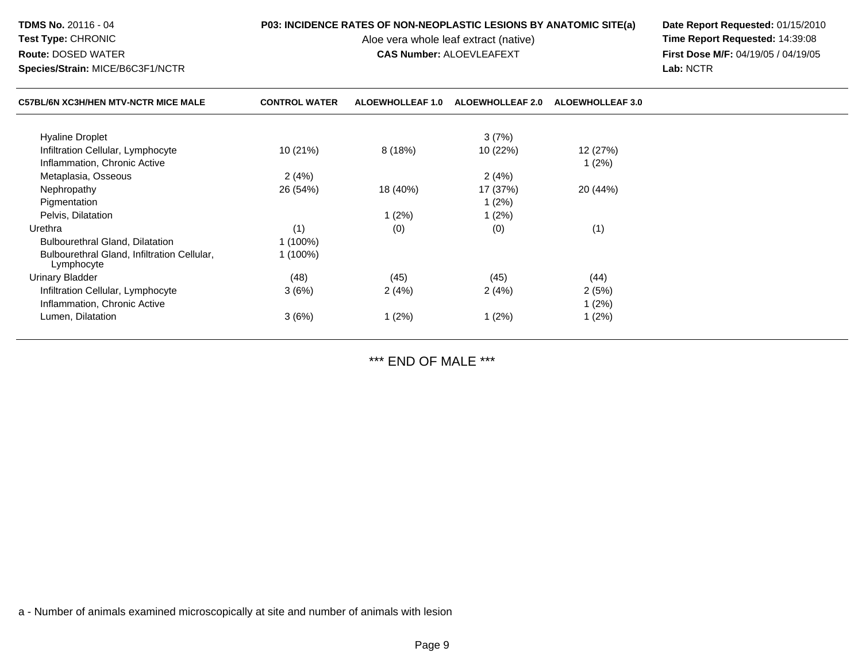| <b>TDMS No. 20116 - 04</b><br>Test Type: CHRONIC<br><b>Route: DOSED WATER</b><br>Species/Strain: MICE/B6C3F1/NCTR | P03: INCIDENCE RATES OF NON-NEOPLASTIC LESIONS BY ANATOMIC SITE(a)<br>Aloe vera whole leaf extract (native)<br><b>CAS Number: ALOEVLEAFEXT</b> |                         |                         | Date Report Requested: 01/15/2010<br>Time Report Requested: 14:39:08<br>First Dose M/F: 04/19/05 / 04/19/05<br>Lab: NCTR |  |
|-------------------------------------------------------------------------------------------------------------------|------------------------------------------------------------------------------------------------------------------------------------------------|-------------------------|-------------------------|--------------------------------------------------------------------------------------------------------------------------|--|
| <b>C57BL/6N XC3H/HEN MTV-NCTR MICE MALE</b>                                                                       | <b>CONTROL WATER</b>                                                                                                                           | <b>ALOEWHOLLEAF 1.0</b> | <b>ALOEWHOLLEAF 2.0</b> | <b>ALOEWHOLLEAF 3.0</b>                                                                                                  |  |
| <b>Hyaline Droplet</b>                                                                                            |                                                                                                                                                |                         | 3(7%)                   |                                                                                                                          |  |
| Infiltration Cellular, Lymphocyte                                                                                 | 10 (21%)                                                                                                                                       | 8(18%)                  | 10 (22%)                | 12 (27%)                                                                                                                 |  |
| Inflammation, Chronic Active                                                                                      |                                                                                                                                                |                         |                         | $1(2\%)$                                                                                                                 |  |
| Metaplasia, Osseous                                                                                               | 2(4%)                                                                                                                                          |                         | 2(4%)                   |                                                                                                                          |  |
| Nephropathy                                                                                                       | 26 (54%)                                                                                                                                       | 18 (40%)                | 17 (37%)                | 20 (44%)                                                                                                                 |  |
| Pigmentation                                                                                                      |                                                                                                                                                |                         | 1(2%)                   |                                                                                                                          |  |
| Pelvis, Dilatation                                                                                                |                                                                                                                                                | 1(2%)                   | 1 $(2%)$                |                                                                                                                          |  |
| Urethra                                                                                                           | (1)                                                                                                                                            | (0)                     | (0)                     | (1)                                                                                                                      |  |
| Bulbourethral Gland, Dilatation                                                                                   | $1(100\%)$                                                                                                                                     |                         |                         |                                                                                                                          |  |
| Bulbourethral Gland, Infiltration Cellular,<br>Lymphocyte                                                         | $1(100\%)$                                                                                                                                     |                         |                         |                                                                                                                          |  |
| Urinary Bladder                                                                                                   | (48)                                                                                                                                           | (45)                    | (45)                    | (44)                                                                                                                     |  |
| Infiltration Cellular, Lymphocyte                                                                                 | 3(6%)                                                                                                                                          | 2 (4%)                  | 2(4%)                   | 2(5%)                                                                                                                    |  |
| Inflammation, Chronic Active                                                                                      |                                                                                                                                                |                         |                         | 1(2%)                                                                                                                    |  |
| Lumen, Dilatation                                                                                                 | 3(6%)                                                                                                                                          | 1(2%)                   | 1(2%)                   | 1(2%)                                                                                                                    |  |

\*\*\* END OF MALE \*\*\*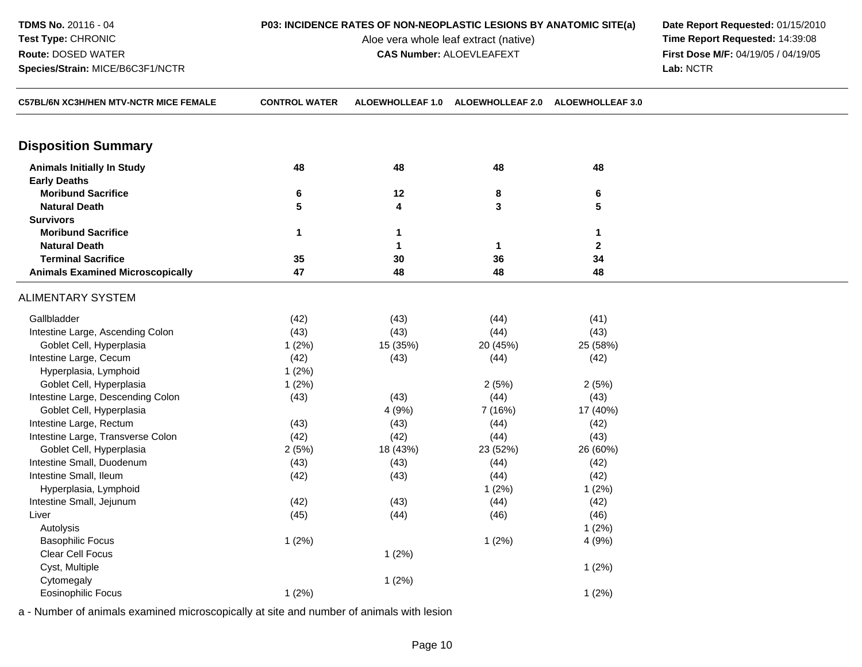| <b>TDMS No. 20116 - 04</b>       |
|----------------------------------|
| <b>Test Type: CHRONIC</b>        |
| <b>Route: DOSED WATER</b>        |
| Species/Strain: MICE/B6C3F1/NCTR |

Aloe vera whole leaf extract (native)<br>**CAS Number: ALOEVLEAFEXT** 

**P03: INCIDENCE RATES OF NON-NEOPLASTIC LESIONS BY ANATOMIC SITE(a) Date Report Requested: 01/15/2010**<br>Aloe vera whole leaf extract (native) **Time Report Requested: 14:39:08 CAS Number:** ALOEVLEAFEXT **First Dose M/F:** 04/19/05 / 04/19/05 **Lab:** NCTR

| C57BL/6N XC3H/HEN MTV-NCTR MICE FEMALE  | <b>CONTROL WATER</b> |              | ALOEWHOLLEAF 1.0 ALOEWHOLLEAF 2.0 ALOEWHOLLEAF 3.0 |              |  |
|-----------------------------------------|----------------------|--------------|----------------------------------------------------|--------------|--|
| <b>Disposition Summary</b>              |                      |              |                                                    |              |  |
| <b>Animals Initially In Study</b>       | 48                   | 48           | 48                                                 | 48           |  |
| <b>Early Deaths</b>                     |                      |              |                                                    |              |  |
| <b>Moribund Sacrifice</b>               | 6                    | 12           | 8                                                  | 6            |  |
| <b>Natural Death</b>                    | 5                    | 4            | 3                                                  | 5            |  |
| <b>Survivors</b>                        |                      |              |                                                    |              |  |
| <b>Moribund Sacrifice</b>               | 1                    | 1            |                                                    | 1            |  |
| <b>Natural Death</b>                    |                      | $\mathbf{1}$ | 1                                                  | $\mathbf{2}$ |  |
| <b>Terminal Sacrifice</b>               | 35                   | 30           | 36                                                 | 34           |  |
| <b>Animals Examined Microscopically</b> | 47                   | 48           | 48                                                 | 48           |  |
| <b>ALIMENTARY SYSTEM</b>                |                      |              |                                                    |              |  |
| Gallbladder                             | (42)                 | (43)         | (44)                                               | (41)         |  |
| Intestine Large, Ascending Colon        | (43)                 | (43)         | (44)                                               | (43)         |  |
| Goblet Cell, Hyperplasia                | 1(2%)                | 15 (35%)     | 20 (45%)                                           | 25 (58%)     |  |
| Intestine Large, Cecum                  | (42)                 | (43)         | (44)                                               | (42)         |  |
| Hyperplasia, Lymphoid                   | 1(2%)                |              |                                                    |              |  |
| Goblet Cell, Hyperplasia                | 1(2%)                |              | 2(5%)                                              | 2(5%)        |  |
| Intestine Large, Descending Colon       | (43)                 | (43)         | (44)                                               | (43)         |  |
| Goblet Cell, Hyperplasia                |                      | 4 (9%)       | 7 (16%)                                            | 17 (40%)     |  |
| Intestine Large, Rectum                 | (43)                 | (43)         | (44)                                               | (42)         |  |
| Intestine Large, Transverse Colon       | (42)                 | (42)         | (44)                                               | (43)         |  |
| Goblet Cell, Hyperplasia                | 2(5%)                | 18 (43%)     | 23 (52%)                                           | 26 (60%)     |  |
| Intestine Small, Duodenum               | (43)                 | (43)         | (44)                                               | (42)         |  |
| Intestine Small, Ileum                  | (42)                 | (43)         | (44)                                               | (42)         |  |
| Hyperplasia, Lymphoid                   |                      |              | 1(2%)                                              | 1(2%)        |  |
| Intestine Small, Jejunum                | (42)                 | (43)         | (44)                                               | (42)         |  |
| Liver                                   | (45)                 | (44)         | (46)                                               | (46)         |  |
| Autolysis                               |                      |              |                                                    | 1(2%)        |  |
| <b>Basophilic Focus</b>                 | 1(2%)                |              | 1(2%)                                              | 4 (9%)       |  |
| Clear Cell Focus                        |                      | 1(2%)        |                                                    |              |  |
| Cyst, Multiple                          |                      |              |                                                    | 1(2%)        |  |
| Cytomegaly                              |                      | 1(2%)        |                                                    |              |  |
| <b>Eosinophilic Focus</b>               | 1(2%)                |              |                                                    | 1(2%)        |  |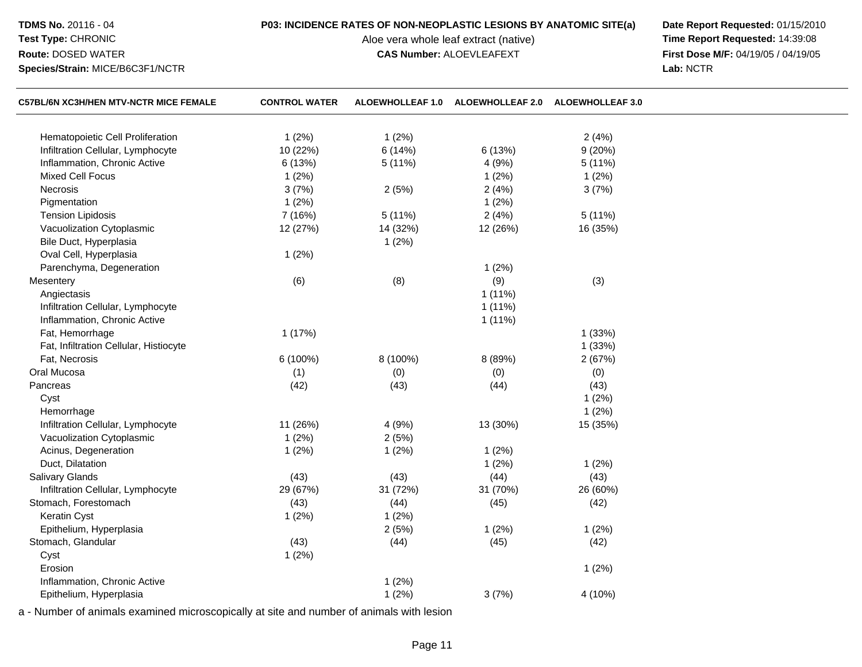## **TDMS No.** 20116 - 04

# **Test Type:** CHRONIC**Route:** DOSED WATER

**Species/Strain:** MICE/B6C3F1/NCTR

Aloe vera whole leaf extract (native)<br>**CAS Number:** ALOEVLEAFEXT

**P03: INCIDENCE RATES OF NON-NEOPLASTIC LESIONS BY ANATOMIC SITE(a) Date Report Requested: 01/15/2010**<br>Aloe vera whole leaf extract (native) **Time Report Requested: 14:39:08 First Dose M/F:** 04/19/05 / 04/19/05<br>Lab: NCTR **Lab:** NCTR

| <b>C57BL/6N XC3H/HEN MTV-NCTR MICE FEMALE</b> | <b>CONTROL WATER</b> | <b>ALOEWHOLLEAF 1.0</b> | ALOEWHOLLEAF 2.0 ALOEWHOLLEAF 3.0 |          |  |
|-----------------------------------------------|----------------------|-------------------------|-----------------------------------|----------|--|
| Hematopoietic Cell Proliferation              | 1(2%)                | 1(2%)                   |                                   | 2(4%)    |  |
| Infiltration Cellular, Lymphocyte             | 10 (22%)             | 6(14%)                  | 6 (13%)                           | 9(20%)   |  |
| Inflammation, Chronic Active                  | 6(13%)               | 5(11%)                  | 4 (9%)                            | 5(11%)   |  |
| <b>Mixed Cell Focus</b>                       | 1(2%)                |                         | 1(2%)                             | 1(2%)    |  |
| Necrosis                                      | 3(7%)                | 2(5%)                   | 2(4%)                             | 3(7%)    |  |
| Pigmentation                                  | 1(2%)                |                         | 1(2%)                             |          |  |
| <b>Tension Lipidosis</b>                      | 7 (16%)              | 5(11%)                  | 2(4%)                             | 5(11%)   |  |
| Vacuolization Cytoplasmic                     | 12 (27%)             | 14 (32%)                | 12 (26%)                          | 16 (35%) |  |
| Bile Duct, Hyperplasia                        |                      | 1(2%)                   |                                   |          |  |
| Oval Cell, Hyperplasia                        | 1(2%)                |                         |                                   |          |  |
| Parenchyma, Degeneration                      |                      |                         | 1(2%)                             |          |  |
| Mesentery                                     | (6)                  | (8)                     | (9)                               | (3)      |  |
| Angiectasis                                   |                      |                         | $1(11\%)$                         |          |  |
| Infiltration Cellular, Lymphocyte             |                      |                         | $1(11\%)$                         |          |  |
| Inflammation, Chronic Active                  |                      |                         | 1(11%)                            |          |  |
| Fat, Hemorrhage                               | 1(17%)               |                         |                                   | 1(33%)   |  |
| Fat, Infiltration Cellular, Histiocyte        |                      |                         |                                   | 1(33%)   |  |
| Fat, Necrosis                                 | 6 (100%)             | 8 (100%)                | 8 (89%)                           | 2(67%)   |  |
| Oral Mucosa                                   | (1)                  | (0)                     | (0)                               | (0)      |  |
| Pancreas                                      | (42)                 | (43)                    | (44)                              | (43)     |  |
| Cyst                                          |                      |                         |                                   | 1(2%)    |  |
| Hemorrhage                                    |                      |                         |                                   | 1(2%)    |  |
| Infiltration Cellular, Lymphocyte             | 11 (26%)             | 4(9%)                   | 13 (30%)                          | 15 (35%) |  |
| Vacuolization Cytoplasmic                     | 1(2%)                | 2(5%)                   |                                   |          |  |
| Acinus, Degeneration                          | 1(2%)                | 1(2%)                   | 1(2%)                             |          |  |
| Duct, Dilatation                              |                      |                         | 1(2%)                             | 1(2%)    |  |
| Salivary Glands                               | (43)                 | (43)                    | (44)                              | (43)     |  |
| Infiltration Cellular, Lymphocyte             | 29 (67%)             | 31 (72%)                | 31 (70%)                          | 26 (60%) |  |
| Stomach, Forestomach                          | (43)                 | (44)                    | (45)                              | (42)     |  |
| Keratin Cyst                                  | 1(2%)                | 1(2%)                   |                                   |          |  |
| Epithelium, Hyperplasia                       |                      | 2(5%)                   | 1(2%)                             | 1(2%)    |  |
| Stomach, Glandular                            | (43)                 | (44)                    | (45)                              | (42)     |  |
| Cyst                                          | 1(2%)                |                         |                                   |          |  |
| Erosion                                       |                      |                         |                                   | 1(2%)    |  |
| Inflammation, Chronic Active                  |                      | 1(2%)                   |                                   |          |  |
| Epithelium, Hyperplasia                       |                      | 1(2%)                   | 3(7%)                             | 4 (10%)  |  |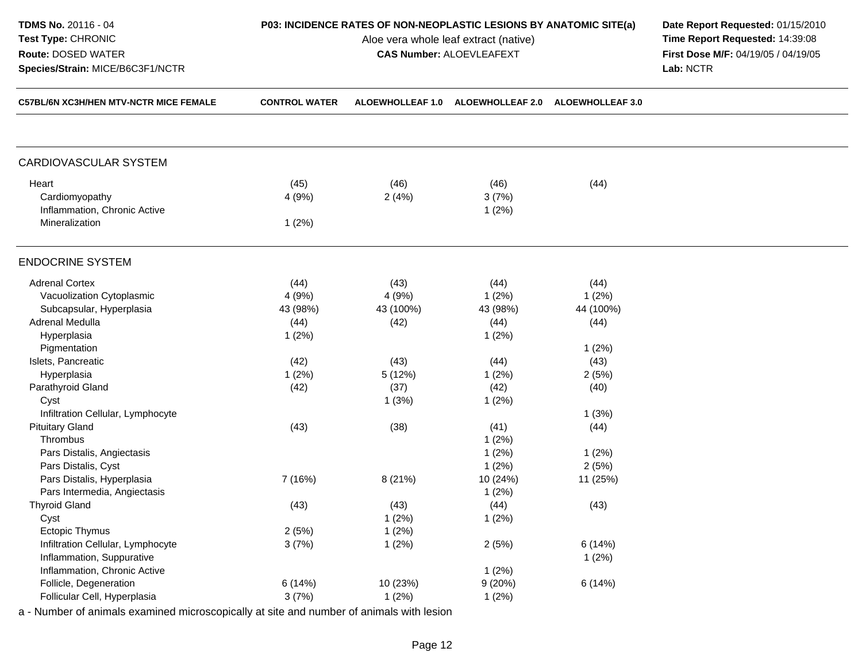| TDMS No. 20116 - 04<br>Test Type: CHRONIC<br>Route: DOSED WATER<br>Species/Strain: MICE/B6C3F1/NCTR |                                   | P03: INCIDENCE RATES OF NON-NEOPLASTIC LESIONS BY ANATOMIC SITE(a)<br>Aloe vera whole leaf extract (native)<br><b>CAS Number: ALOEVLEAFEXT</b> | Date Report Requested: 01/15/2010<br>Time Report Requested: 14:39:08<br>First Dose M/F: 04/19/05 / 04/19/05<br>Lab: NCTR |                                    |  |
|-----------------------------------------------------------------------------------------------------|-----------------------------------|------------------------------------------------------------------------------------------------------------------------------------------------|--------------------------------------------------------------------------------------------------------------------------|------------------------------------|--|
| C57BL/6N XC3H/HEN MTV-NCTR MICE FEMALE                                                              | <b>CONTROL WATER</b>              | ALOEWHOLLEAF 1.0                                                                                                                               | <b>ALOEWHOLLEAF 2.0</b>                                                                                                  | <b>ALOEWHOLLEAF 3.0</b>            |  |
| CARDIOVASCULAR SYSTEM                                                                               |                                   |                                                                                                                                                |                                                                                                                          |                                    |  |
| Heart<br>Cardiomyopathy<br>Inflammation, Chronic Active<br>Mineralization                           | (45)<br>4 (9%)<br>1(2%)           | (46)<br>2(4%)                                                                                                                                  | (46)<br>3(7%)<br>1(2%)                                                                                                   | (44)                               |  |
| <b>ENDOCRINE SYSTEM</b>                                                                             |                                   |                                                                                                                                                |                                                                                                                          |                                    |  |
| <b>Adrenal Cortex</b><br>Vacuolization Cytoplasmic<br>Subcapsular, Hyperplasia<br>Adrenal Medulla   | (44)<br>4(9%)<br>43 (98%)<br>(44) | (43)<br>4(9%)<br>43 (100%)<br>(42)                                                                                                             | (44)<br>$1(2\%)$<br>43 (98%)<br>(44)                                                                                     | (44)<br>1(2%)<br>44 (100%)<br>(44) |  |
| Hyperplasia<br>Pigmentation<br>Islets, Pancreatic<br>Hyperplasia                                    | 1(2%)<br>(42)<br>1(2%)            | (43)<br>5(12%)                                                                                                                                 | $1(2\%)$<br>(44)<br>$1(2\%)$                                                                                             | 1(2%)<br>(43)<br>2(5%)             |  |
| Parathyroid Gland<br>Cyst<br>Infiltration Cellular, Lymphocyte                                      | (42)                              | (37)<br>1(3%)                                                                                                                                  | (42)<br>$1(2\%)$                                                                                                         | (40)<br>1(3%)                      |  |
| <b>Pituitary Gland</b><br>Thrombus<br>Pars Distalis, Angiectasis<br>Pars Distalis, Cyst             | (43)                              | (38)                                                                                                                                           | (41)<br>$1(2\%)$<br>$1(2\%)$<br>$1(2\%)$                                                                                 | (44)<br>1(2%)<br>2(5%)             |  |
| Pars Distalis, Hyperplasia<br>Pars Intermedia, Angiectasis<br><b>Thyroid Gland</b>                  | 7 (16%)<br>(43)                   | 8 (21%)                                                                                                                                        | 10 (24%)<br>1(2%)                                                                                                        | 11 (25%)                           |  |
| Cyst<br><b>Ectopic Thymus</b>                                                                       | 2(5%)                             | (43)<br>1(2%)<br>1(2%)                                                                                                                         | (44)<br>1(2%)                                                                                                            | (43)                               |  |
| Infiltration Cellular, Lymphocyte<br>Inflammation, Suppurative<br>Inflammation, Chronic Active      | 3(7%)                             | 1(2%)                                                                                                                                          | 2(5%)<br>1(2%)                                                                                                           | 6(14%)<br>1(2%)                    |  |
| Follicle, Degeneration<br>Follicular Cell, Hyperplasia                                              | 6(14%)<br>3(7%)                   | 10 (23%)<br>1(2%)                                                                                                                              | 9(20%)<br>1(2%)                                                                                                          | 6(14%)                             |  |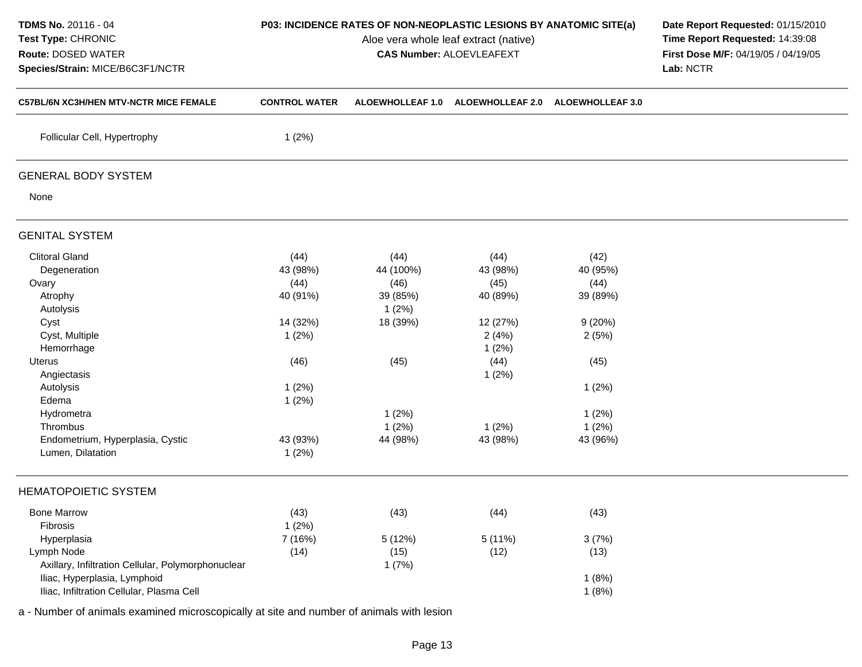| TDMS No. 20116 - 04<br>Test Type: CHRONIC<br>Route: DOSED WATER<br>Species/Strain: MICE/B6C3F1/NCTR |                      | P03: INCIDENCE RATES OF NON-NEOPLASTIC LESIONS BY ANATOMIC SITE(a)<br>Aloe vera whole leaf extract (native)<br><b>CAS Number: ALOEVLEAFEXT</b> | Date Report Requested: 01/15/2010<br>Time Report Requested: 14:39:08<br>First Dose M/F: 04/19/05 / 04/19/05<br>Lab: NCTR |                         |  |
|-----------------------------------------------------------------------------------------------------|----------------------|------------------------------------------------------------------------------------------------------------------------------------------------|--------------------------------------------------------------------------------------------------------------------------|-------------------------|--|
| C57BL/6N XC3H/HEN MTV-NCTR MICE FEMALE                                                              | <b>CONTROL WATER</b> | <b>ALOEWHOLLEAF 1.0</b>                                                                                                                        | <b>ALOEWHOLLEAF 2.0</b>                                                                                                  | <b>ALOEWHOLLEAF 3.0</b> |  |
| Follicular Cell, Hypertrophy                                                                        | 1(2%)                |                                                                                                                                                |                                                                                                                          |                         |  |
| <b>GENERAL BODY SYSTEM</b>                                                                          |                      |                                                                                                                                                |                                                                                                                          |                         |  |
| None                                                                                                |                      |                                                                                                                                                |                                                                                                                          |                         |  |
| <b>GENITAL SYSTEM</b>                                                                               |                      |                                                                                                                                                |                                                                                                                          |                         |  |
| <b>Clitoral Gland</b>                                                                               | (44)                 | (44)                                                                                                                                           | (44)                                                                                                                     | (42)                    |  |
| Degeneration                                                                                        | 43 (98%)             | 44 (100%)                                                                                                                                      | 43 (98%)                                                                                                                 | 40 (95%)                |  |
| Ovary                                                                                               | (44)                 | (46)                                                                                                                                           | (45)                                                                                                                     | (44)                    |  |
| Atrophy                                                                                             | 40 (91%)             | 39 (85%)                                                                                                                                       | 40 (89%)                                                                                                                 | 39 (89%)                |  |
| Autolysis                                                                                           |                      | 1(2%)                                                                                                                                          |                                                                                                                          |                         |  |
| Cyst                                                                                                | 14 (32%)             | 18 (39%)                                                                                                                                       | 12 (27%)                                                                                                                 | 9(20%)                  |  |
| Cyst, Multiple                                                                                      | 1(2%)                |                                                                                                                                                | 2(4%)                                                                                                                    | 2(5%)                   |  |
| Hemorrhage                                                                                          |                      |                                                                                                                                                | 1(2%)                                                                                                                    |                         |  |
| Uterus                                                                                              | (46)                 | (45)                                                                                                                                           | (44)                                                                                                                     | (45)                    |  |
| Angiectasis                                                                                         |                      |                                                                                                                                                | 1(2%)                                                                                                                    |                         |  |
| Autolysis                                                                                           | 1(2%)                |                                                                                                                                                |                                                                                                                          | 1(2%)                   |  |
| Edema                                                                                               | 1(2%)                |                                                                                                                                                |                                                                                                                          |                         |  |
| Hydrometra                                                                                          |                      | 1(2%)                                                                                                                                          |                                                                                                                          | 1(2%)                   |  |
| Thrombus                                                                                            |                      | 1(2%)                                                                                                                                          | 1(2%)                                                                                                                    | 1(2%)                   |  |
| Endometrium, Hyperplasia, Cystic<br>Lumen, Dilatation                                               | 43 (93%)<br>1(2%)    | 44 (98%)                                                                                                                                       | 43 (98%)                                                                                                                 | 43 (96%)                |  |
| <b>HEMATOPOIETIC SYSTEM</b>                                                                         |                      |                                                                                                                                                |                                                                                                                          |                         |  |
| <b>Bone Marrow</b><br>Fibrosis                                                                      | (43)<br>1(2%)        | (43)                                                                                                                                           | (44)                                                                                                                     | (43)                    |  |
| Hyperplasia                                                                                         | 7 (16%)              | 5 (12%)                                                                                                                                        | 5 (11%)                                                                                                                  | 3(7%)                   |  |
| Lymph Node                                                                                          | (14)                 | (15)                                                                                                                                           | (12)                                                                                                                     | (13)                    |  |
| Axillary, Infiltration Cellular, Polymorphonuclear                                                  |                      | 1(7%)                                                                                                                                          |                                                                                                                          |                         |  |
| Iliac, Hyperplasia, Lymphoid                                                                        |                      |                                                                                                                                                |                                                                                                                          | 1(8%)                   |  |
| Iliac, Infiltration Cellular, Plasma Cell                                                           |                      |                                                                                                                                                |                                                                                                                          | 1(8%)                   |  |
|                                                                                                     |                      |                                                                                                                                                |                                                                                                                          |                         |  |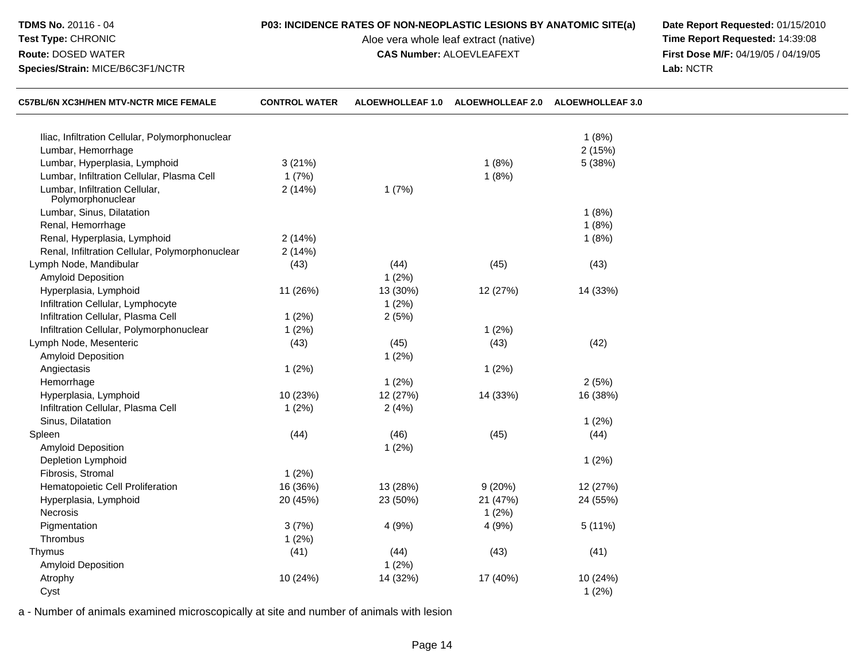| TDMS No. 20116 - 04                                                        |                      | P03: INCIDENCE RATES OF NON-NEOPLASTIC LESIONS BY ANATOMIC SITE(a) | Date Report Requested: 01/15/2010   |                         |  |
|----------------------------------------------------------------------------|----------------------|--------------------------------------------------------------------|-------------------------------------|-------------------------|--|
| Test Type: CHRONIC                                                         |                      | Aloe vera whole leaf extract (native)                              | Time Report Requested: 14:39:08     |                         |  |
| Route: DOSED WATER                                                         |                      | <b>CAS Number: ALOEVLEAFEXT</b>                                    | First Dose M/F: 04/19/05 / 04/19/05 |                         |  |
| Species/Strain: MICE/B6C3F1/NCTR<br>C57BL/6N XC3H/HEN MTV-NCTR MICE FEMALE |                      |                                                                    | Lab: NCTR                           |                         |  |
|                                                                            | <b>CONTROL WATER</b> | ALOEWHOLLEAF 1.0                                                   | <b>ALOEWHOLLEAF 2.0</b>             | <b>ALOEWHOLLEAF 3.0</b> |  |
| Iliac, Infiltration Cellular, Polymorphonuclear                            |                      |                                                                    |                                     | 1(8%)                   |  |
| Lumbar, Hemorrhage                                                         |                      |                                                                    |                                     | 2(15%)                  |  |
| Lumbar, Hyperplasia, Lymphoid                                              | 3(21%)               |                                                                    | 1(8%)                               | 5 (38%)                 |  |
| Lumbar, Infiltration Cellular, Plasma Cell                                 | 1(7%)                |                                                                    | 1(8%)                               |                         |  |
| Lumbar, Infiltration Cellular,<br>Polymorphonuclear                        | 2(14%)               | 1(7%)                                                              |                                     |                         |  |
| Lumbar, Sinus, Dilatation                                                  |                      |                                                                    |                                     | 1(8%)                   |  |
| Renal, Hemorrhage                                                          |                      |                                                                    |                                     | 1(8%)                   |  |
| Renal, Hyperplasia, Lymphoid                                               | 2(14%)               |                                                                    |                                     | 1(8%)                   |  |
| Renal, Infiltration Cellular, Polymorphonuclear                            | 2(14%)               |                                                                    |                                     |                         |  |
| Lymph Node, Mandibular                                                     | (43)                 | (44)                                                               | (45)                                | (43)                    |  |
| Amyloid Deposition                                                         |                      | 1(2%)                                                              |                                     |                         |  |
| Hyperplasia, Lymphoid                                                      | 11 (26%)             | 13 (30%)                                                           | 12 (27%)                            | 14 (33%)                |  |
| Infiltration Cellular, Lymphocyte                                          |                      | 1(2%)                                                              |                                     |                         |  |
| Infiltration Cellular, Plasma Cell                                         | 1(2%)                | 2(5%)                                                              |                                     |                         |  |
| Infiltration Cellular, Polymorphonuclear                                   | 1(2%)                |                                                                    | 1(2%)                               |                         |  |
| Lymph Node, Mesenteric                                                     | (43)                 | (45)                                                               | (43)                                | (42)                    |  |
| Amyloid Deposition                                                         |                      | 1(2%)                                                              |                                     |                         |  |
| Angiectasis                                                                | 1(2%)                |                                                                    | 1(2%)                               |                         |  |
| Hemorrhage                                                                 |                      | 1(2%)                                                              |                                     | 2(5%)                   |  |
| Hyperplasia, Lymphoid                                                      | 10 (23%)             | 12 (27%)                                                           | 14 (33%)                            | 16 (38%)                |  |
| Infiltration Cellular, Plasma Cell                                         | 1(2%)                | 2(4%)                                                              |                                     |                         |  |
| Sinus, Dilatation                                                          |                      |                                                                    |                                     | 1(2%)                   |  |
| Spleen                                                                     | (44)                 | (46)                                                               | (45)                                | (44)                    |  |
| Amyloid Deposition                                                         |                      | 1(2%)                                                              |                                     |                         |  |
| Depletion Lymphoid                                                         |                      |                                                                    |                                     | 1(2%)                   |  |
| Fibrosis, Stromal                                                          | 1(2%)                |                                                                    |                                     |                         |  |
| Hematopoietic Cell Proliferation                                           | 16 (36%)             | 13 (28%)                                                           | 9(20%)                              | 12 (27%)                |  |
| Hyperplasia, Lymphoid                                                      | 20 (45%)             | 23 (50%)                                                           | 21 (47%)                            | 24 (55%)                |  |
| Necrosis                                                                   |                      |                                                                    | 1(2%)                               |                         |  |
| Pigmentation                                                               | 3(7%)                | 4 (9%)                                                             | 4 (9%)                              | 5(11%)                  |  |
| Thrombus                                                                   | 1(2%)                |                                                                    |                                     |                         |  |
| Thymus                                                                     | (41)                 | (44)                                                               | (43)                                | (41)                    |  |
| Amyloid Deposition                                                         |                      | 1(2%)                                                              |                                     |                         |  |
| Atrophy                                                                    | 10 (24%)             | 14 (32%)                                                           | 17 (40%)                            | 10 (24%)                |  |
| Cyst                                                                       |                      |                                                                    |                                     | 1(2%)                   |  |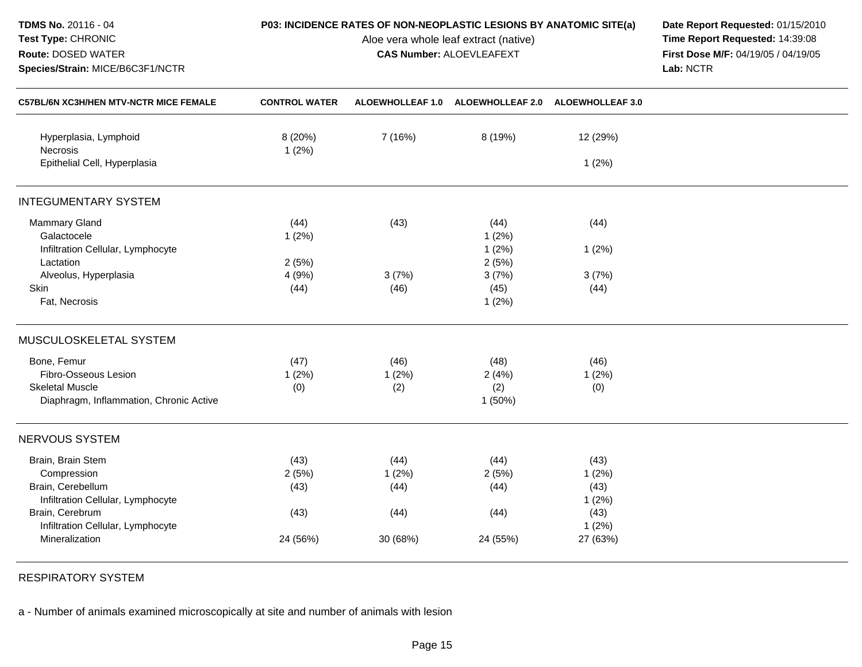| TDMS No. 20116 - 04<br>Test Type: CHRONIC<br>Route: DOSED WATER<br>Species/Strain: MICE/B6C3F1/NCTR |                      | P03: INCIDENCE RATES OF NON-NEOPLASTIC LESIONS BY ANATOMIC SITE(a)<br>Aloe vera whole leaf extract (native)<br><b>CAS Number: ALOEVLEAFEXT</b> | Date Report Requested: 01/15/2010<br>Time Report Requested: 14:39:08<br>First Dose M/F: 04/19/05 / 04/19/05<br>Lab: NCTR |               |  |
|-----------------------------------------------------------------------------------------------------|----------------------|------------------------------------------------------------------------------------------------------------------------------------------------|--------------------------------------------------------------------------------------------------------------------------|---------------|--|
| C57BL/6N XC3H/HEN MTV-NCTR MICE FEMALE                                                              | <b>CONTROL WATER</b> |                                                                                                                                                | ALOEWHOLLEAF 1.0 ALOEWHOLLEAF 2.0 ALOEWHOLLEAF 3.0                                                                       |               |  |
| Hyperplasia, Lymphoid<br>Necrosis                                                                   | 8 (20%)<br>1(2%)     | 7 (16%)                                                                                                                                        | 8 (19%)                                                                                                                  | 12 (29%)      |  |
| Epithelial Cell, Hyperplasia                                                                        |                      |                                                                                                                                                |                                                                                                                          | 1(2%)         |  |
| <b>INTEGUMENTARY SYSTEM</b>                                                                         |                      |                                                                                                                                                |                                                                                                                          |               |  |
| Mammary Gland<br>Galactocele                                                                        | (44)<br>1(2%)        | (43)                                                                                                                                           | (44)<br>1(2%)                                                                                                            | (44)          |  |
| Infiltration Cellular, Lymphocyte<br>Lactation                                                      | 2(5%)                |                                                                                                                                                | 1(2%)<br>2(5%)                                                                                                           | 1(2%)         |  |
| Alveolus, Hyperplasia                                                                               | 4 (9%)               | 3(7%)                                                                                                                                          | 3(7%)                                                                                                                    | 3(7%)         |  |
| Skin<br>Fat, Necrosis                                                                               | (44)                 | (46)                                                                                                                                           | (45)<br>1(2%)                                                                                                            | (44)          |  |
| MUSCULOSKELETAL SYSTEM                                                                              |                      |                                                                                                                                                |                                                                                                                          |               |  |
| Bone, Femur                                                                                         | (47)                 | (46)                                                                                                                                           | (48)                                                                                                                     | (46)          |  |
| Fibro-Osseous Lesion                                                                                | 1(2%)                | 1(2%)                                                                                                                                          | 2(4%)                                                                                                                    | 1(2%)         |  |
| <b>Skeletal Muscle</b><br>Diaphragm, Inflammation, Chronic Active                                   | (0)                  | (2)                                                                                                                                            | (2)<br>1(50%)                                                                                                            | (0)           |  |
| NERVOUS SYSTEM                                                                                      |                      |                                                                                                                                                |                                                                                                                          |               |  |
| Brain, Brain Stem                                                                                   | (43)                 | (44)                                                                                                                                           | (44)                                                                                                                     | (43)          |  |
| Compression                                                                                         | 2(5%)                | 1(2%)                                                                                                                                          | 2(5%)                                                                                                                    | 1(2%)         |  |
| Brain, Cerebellum                                                                                   | (43)                 | (44)                                                                                                                                           | (44)                                                                                                                     | (43)          |  |
| Infiltration Cellular, Lymphocyte                                                                   |                      |                                                                                                                                                |                                                                                                                          | 1(2%)         |  |
| Brain, Cerebrum<br>Infiltration Cellular, Lymphocyte                                                | (43)                 | (44)                                                                                                                                           | (44)                                                                                                                     | (43)<br>1(2%) |  |
| Mineralization                                                                                      | 24 (56%)             | 30 (68%)                                                                                                                                       | 24 (55%)                                                                                                                 | 27 (63%)      |  |

RESPIRATORY SYSTEM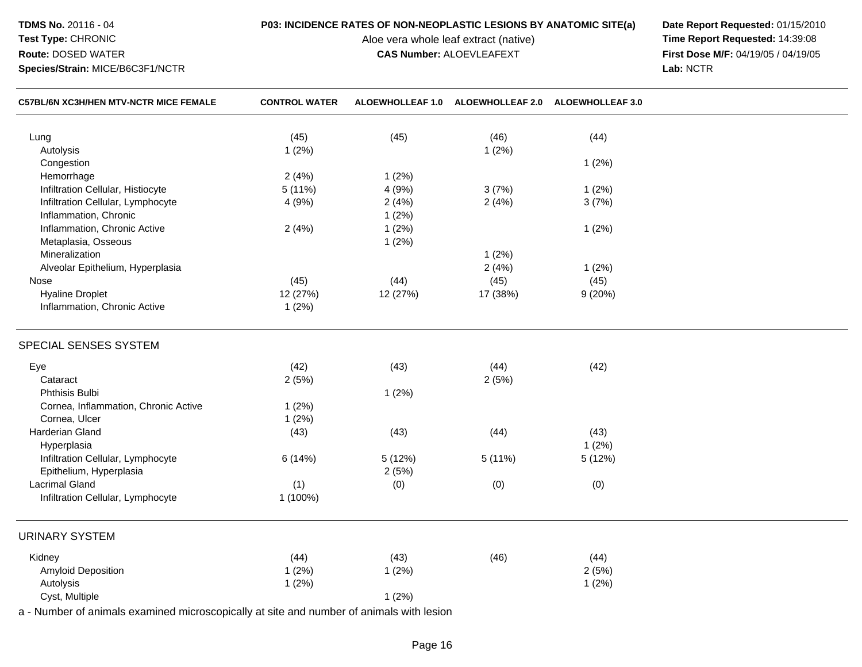## **TDMS No.** 20116 - 04**Test Type:** CHRONIC

**Route:** DOSED WATER

**Species/Strain:** MICE/B6C3F1/NCTR

# **P03: INCIDENCE RATES OF NON-NEOPLASTIC LESIONS BY ANATOMIC SITE(a) Date Report Requested: 01/15/2010**<br>Aloe vera whole leaf extract (native) **Time Report Requested: 14:39:08**

Aloe vera whole leaf extract (native)<br>**CAS Number:** ALOEVLEAFEXT

**First Dose M/F:** 04/19/05 / 04/19/05<br>Lab: NCTR **Lab:** NCTR

| C57BL/6N XC3H/HEN MTV-NCTR MICE FEMALE                                                   | <b>CONTROL WATER</b> |          | ALOEWHOLLEAF 1.0 ALOEWHOLLEAF 2.0 ALOEWHOLLEAF 3.0 |        |  |
|------------------------------------------------------------------------------------------|----------------------|----------|----------------------------------------------------|--------|--|
| Lung                                                                                     | (45)                 | (45)     | (46)                                               | (44)   |  |
| Autolysis                                                                                | 1(2%)                |          | 1(2%)                                              |        |  |
| Congestion                                                                               |                      |          |                                                    | 1(2%)  |  |
| Hemorrhage                                                                               | 2(4%)                | 1(2%)    |                                                    |        |  |
| Infiltration Cellular, Histiocyte                                                        | 5(11%)               | 4(9%)    | 3(7%)                                              | 1(2%)  |  |
| Infiltration Cellular, Lymphocyte                                                        | 4 (9%)               | 2(4%)    | 2(4%)                                              | 3(7%)  |  |
| Inflammation, Chronic                                                                    |                      | 1(2%)    |                                                    |        |  |
| Inflammation, Chronic Active                                                             | 2(4%)                | 1(2%)    |                                                    | 1(2%)  |  |
| Metaplasia, Osseous                                                                      |                      | 1(2%)    |                                                    |        |  |
| Mineralization                                                                           |                      |          | 1(2%)                                              |        |  |
| Alveolar Epithelium, Hyperplasia                                                         |                      |          | 2(4%)                                              | 1(2%)  |  |
| Nose                                                                                     | (45)                 | (44)     | (45)                                               | (45)   |  |
| <b>Hyaline Droplet</b>                                                                   | 12 (27%)             | 12 (27%) | 17 (38%)                                           | 9(20%) |  |
| Inflammation, Chronic Active                                                             | 1(2%)                |          |                                                    |        |  |
| SPECIAL SENSES SYSTEM                                                                    |                      |          |                                                    |        |  |
| Eye                                                                                      | (42)                 | (43)     | (44)                                               | (42)   |  |
| Cataract                                                                                 | 2(5%)                |          | 2(5%)                                              |        |  |
| Phthisis Bulbi                                                                           |                      | 1(2%)    |                                                    |        |  |
| Cornea, Inflammation, Chronic Active                                                     | 1(2%)                |          |                                                    |        |  |
| Cornea, Ulcer                                                                            | 1(2%)                |          |                                                    |        |  |
| Harderian Gland                                                                          | (43)                 | (43)     | (44)                                               | (43)   |  |
| Hyperplasia                                                                              |                      |          |                                                    | 1(2%)  |  |
| Infiltration Cellular, Lymphocyte                                                        | 6 (14%)              | 5 (12%)  | 5 (11%)                                            | 5(12%) |  |
| Epithelium, Hyperplasia                                                                  |                      | 2(5%)    |                                                    |        |  |
| <b>Lacrimal Gland</b>                                                                    | (1)                  | (0)      | (0)                                                | (0)    |  |
| Infiltration Cellular, Lymphocyte                                                        | 1 (100%)             |          |                                                    |        |  |
| <b>URINARY SYSTEM</b>                                                                    |                      |          |                                                    |        |  |
| Kidney                                                                                   | (44)                 | (43)     | (46)                                               | (44)   |  |
| Amyloid Deposition                                                                       | 1(2%)                | 1(2%)    |                                                    | 2(5%)  |  |
| Autolysis                                                                                | 1(2%)                |          |                                                    | 1(2%)  |  |
| Cyst, Multiple                                                                           |                      | 1(2%)    |                                                    |        |  |
| a - Number of animals examined microscopically at site and number of animals with lesion |                      |          |                                                    |        |  |